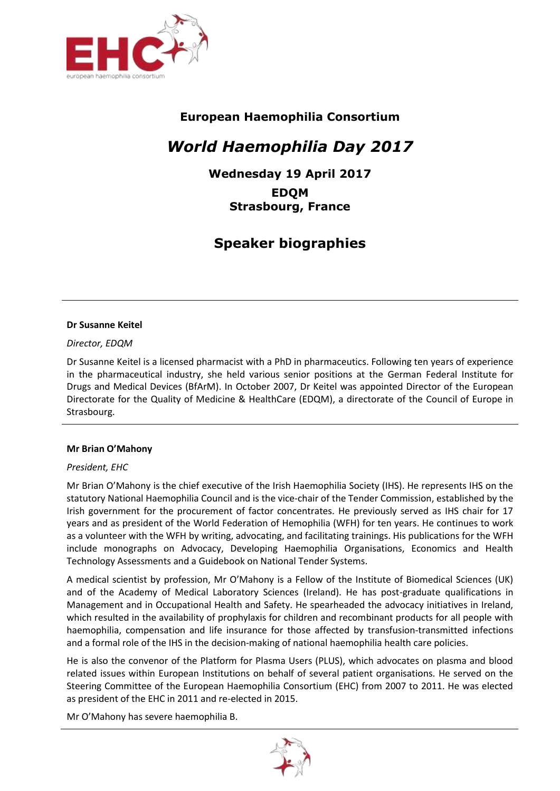

# **European Haemophilia Consortium**

# *World Haemophilia Day 2017*

**Wednesday 19 April 2017 EDQM Strasbourg, France**

# **Speaker biographies**

#### **Dr Susanne Keitel**

# *Director, EDQM*

Dr Susanne Keitel is a licensed pharmacist with a PhD in pharmaceutics. Following ten years of experience in the pharmaceutical industry, she held various senior positions at the German Federal Institute for Drugs and Medical Devices (BfArM). In October 2007, Dr Keitel was appointed Director of the European Directorate for the Quality of Medicine & HealthCare (EDQM), a directorate of the Council of Europe in Strasbourg.

# **Mr Brian O'Mahony**

# *President, EHC*

Mr Brian O'Mahony is the chief executive of the Irish Haemophilia Society (IHS). He represents IHS on the statutory National Haemophilia Council and is the vice-chair of the Tender Commission, established by the Irish government for the procurement of factor concentrates. He previously served as IHS chair for 17 years and as president of the World Federation of Hemophilia (WFH) for ten years. He continues to work as a volunteer with the WFH by writing, advocating, and facilitating trainings. His publications for the WFH include monographs on Advocacy, Developing Haemophilia Organisations, Economics and Health Technology Assessments and a Guidebook on National Tender Systems.

A medical scientist by profession, Mr O'Mahony is a Fellow of the Institute of Biomedical Sciences (UK) and of the Academy of Medical Laboratory Sciences (Ireland). He has post-graduate qualifications in Management and in Occupational Health and Safety. He spearheaded the advocacy initiatives in Ireland, which resulted in the availability of prophylaxis for children and recombinant products for all people with haemophilia, compensation and life insurance for those affected by transfusion-transmitted infections and a formal role of the IHS in the decision-making of national haemophilia health care policies.

He is also the convenor of the Platform for Plasma Users (PLUS), which advocates on plasma and blood related issues within European Institutions on behalf of several patient organisations. He served on the Steering Committee of the European Haemophilia Consortium (EHC) from 2007 to 2011. He was elected as president of the EHC in 2011 and re-elected in 2015.

Mr O'Mahony has severe haemophilia B.

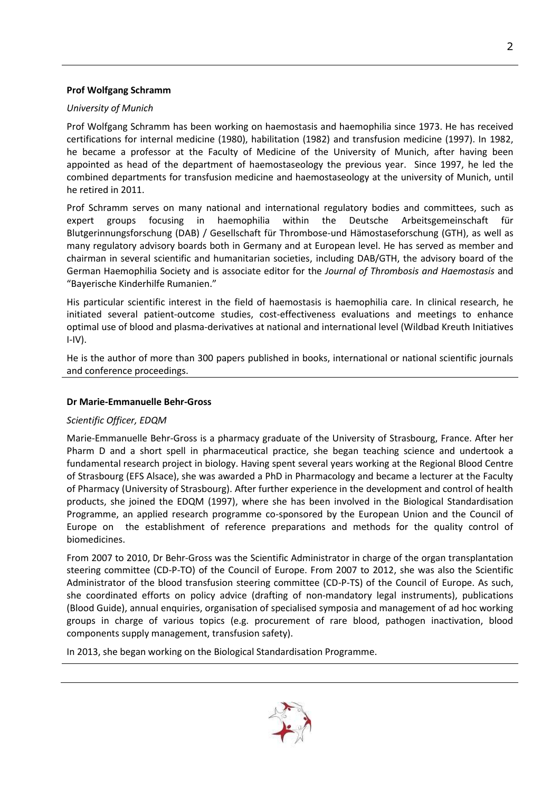# **Prof Wolfgang Schramm**

# *University of Munich*

Prof Wolfgang Schramm has been working on haemostasis and haemophilia since 1973. He has received certifications for internal medicine (1980), habilitation (1982) and transfusion medicine (1997). In 1982, he became a professor at the Faculty of Medicine of the University of Munich, after having been appointed as head of the department of haemostaseology the previous year. Since 1997, he led the combined departments for transfusion medicine and haemostaseology at the university of Munich, until he retired in 2011.

Prof Schramm serves on many national and international regulatory bodies and committees, such as expert groups focusing in haemophilia within the Deutsche Arbeitsgemeinschaft für Blutgerinnungsforschung (DAB) / Gesellschaft für Thrombose-und Hämostaseforschung (GTH), as well as many regulatory advisory boards both in Germany and at European level. He has served as member and chairman in several scientific and humanitarian societies, including DAB/GTH, the advisory board of the German Haemophilia Society and is associate editor for the *Journal of Thrombosis and Haemostasis* and "Bayerische Kinderhilfe Rumanien."

His particular scientific interest in the field of haemostasis is haemophilia care. In clinical research, he initiated several patient-outcome studies, cost-effectiveness evaluations and meetings to enhance optimal use of blood and plasma-derivatives at national and international level (Wildbad Kreuth Initiatives  $I-IV$ ).

He is the author of more than 300 papers published in books, international or national scientific journals and conference proceedings.

# **Dr Marie-Emmanuelle Behr-Gross**

# *Scientific Officer, EDQM*

Marie-Emmanuelle Behr-Gross is a pharmacy graduate of the University of Strasbourg, France. After her Pharm D and a short spell in pharmaceutical practice, she began teaching science and undertook a fundamental research project in biology. Having spent several years working at the Regional Blood Centre of Strasbourg (EFS Alsace), she was awarded a PhD in Pharmacology and became a lecturer at the Faculty of Pharmacy (University of Strasbourg). After further experience in the development and control of health products, she joined the EDQM (1997), where she has been involved in the Biological Standardisation Programme, an applied research programme co-sponsored by the European Union and the Council of Europe on the establishment of reference preparations and methods for the quality control of biomedicines.

From 2007 to 2010, Dr Behr-Gross was the Scientific Administrator in charge of the organ transplantation steering committee (CD-P-TO) of the Council of Europe. From 2007 to 2012, she was also the Scientific Administrator of the blood transfusion steering committee (CD-P-TS) of the Council of Europe. As such, she coordinated efforts on policy advice (drafting of non-mandatory legal instruments), publications (Blood Guide), annual enquiries, organisation of specialised symposia and management of ad hoc working groups in charge of various topics (e.g. procurement of rare blood, pathogen inactivation, blood components supply management, transfusion safety).

In 2013, she began working on the Biological Standardisation Programme.

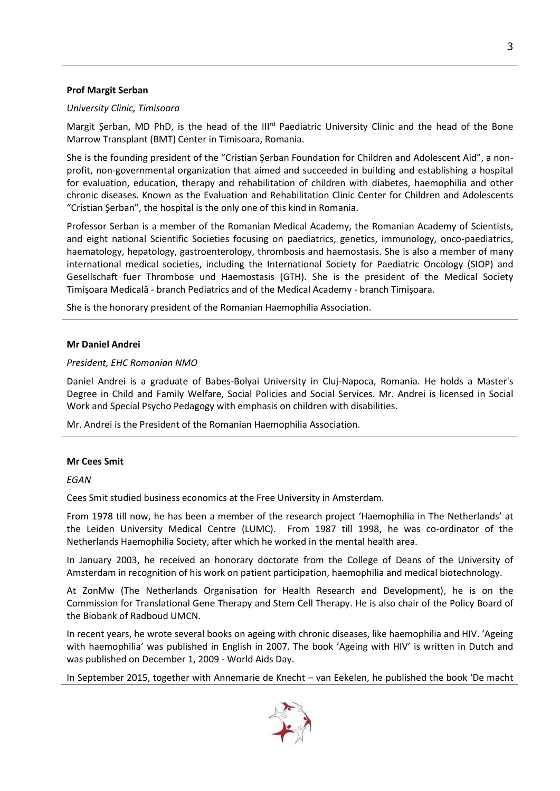# **Prof Margit Serban**

# *University Clinic, Timisoara*

Margit Şerban, MD PhD, is the head of the III<sup>rd</sup> Paediatric University Clinic and the head of the Bone Marrow Transplant (BMT) Center in Timisoara, Romania.

She is the founding president of the "Cristian Şerban Foundation for Children and Adolescent Aid", a nonprofit, non-governmental organization that aimed and succeeded in building and establishing a hospital for evaluation, education, therapy and rehabilitation of children with diabetes, haemophilia and other chronic diseases. Known as the Evaluation and Rehabilitation Clinic Center for Children and Adolescents "Cristian Şerban", the hospital is the only one of this kind in Romania.

Professor Serban is a member of the Romanian Medical Academy, the Romanian Academy of Scientists, and eight national Scientific Societies focusing on paediatrics, genetics, immunology, onco-paediatrics, haematology, hepatology, gastroenterology, thrombosis and haemostasis. She is also a member of many international medical societies, including the International Society for Paediatric Oncology (SIOP) and Gesellschaft fuer Thrombose und Haemostasis (GTH). She is the president of the Medical Society Timişoara Medicală - branch Pediatrics and of the Medical Academy - branch Timişoara.

She is the honorary president of the Romanian Haemophilia Association.

# **Mr Daniel Andrei**

# *President, EHC Romanian NMO*

Daniel Andrei is a graduate of Babes-Bolyai University in Cluj-Napoca, Romania. He holds a Master's Degree in Child and Family Welfare, Social Policies and Social Services. Mr. Andrei is licensed in Social Work and Special Psycho Pedagogy with emphasis on children with disabilities.

Mr. Andrei is the President of the Romanian Haemophilia Association.

# **Mr Cees Smit**

*EGAN*

Cees Smit studied business economics at the Free University in Amsterdam.

From 1978 till now, he has been a member of the research project 'Haemophilia in The Netherlands' at the Leiden University Medical Centre (LUMC). From 1987 till 1998, he was co-ordinator of the Netherlands Haemophilia Society, after which he worked in the mental health area.

In January 2003, he received an honorary doctorate from the College of Deans of the University of Amsterdam in recognition of his work on patient participation, haemophilia and medical biotechnology.

At ZonMw (The Netherlands Organisation for Health Research and Development), he is on the Commission for Translational Gene Therapy and Stem Cell Therapy. He is also chair of the Policy Board of the Biobank of Radboud UMCN.

In recent years, he wrote several books on ageing with chronic diseases, like haemophilia and HIV. 'Ageing with haemophilia' was published in English in 2007. The book 'Ageing with HIV' is written in Dutch and was published on December 1, 2009 - World Aids Day.

In September 2015, together with Annemarie de Knecht – van Eekelen, he published the book 'De macht

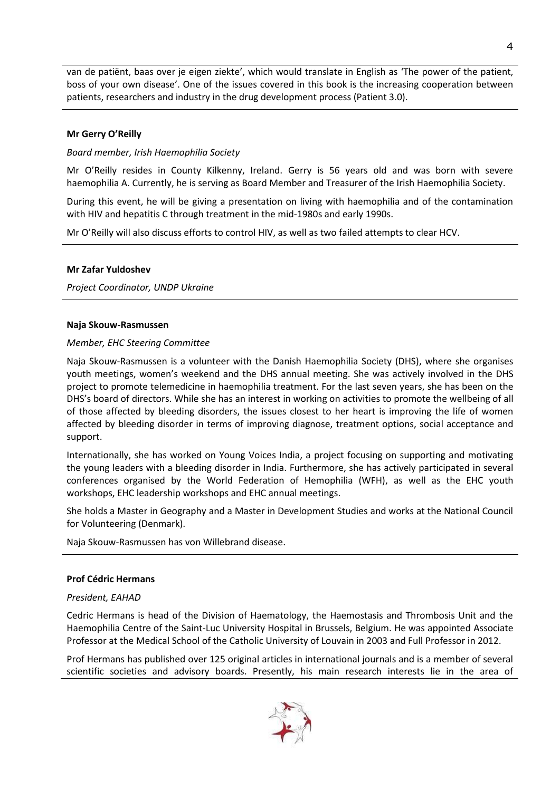van de patiënt, baas over je eigen ziekte', which would translate in English as 'The power of the patient, boss of your own disease'. One of the issues covered in this book is the increasing cooperation between patients, researchers and industry in the drug development process (Patient 3.0).

#### **Mr Gerry O'Reilly**

#### *Board member, Irish Haemophilia Society*

Mr O'Reilly resides in County Kilkenny, Ireland. Gerry is 56 years old and was born with severe haemophilia A. Currently, he is serving as Board Member and Treasurer of the Irish Haemophilia Society.

During this event, he will be giving a presentation on living with haemophilia and of the contamination with HIV and hepatitis C through treatment in the mid-1980s and early 1990s.

Mr O'Reilly will also discuss efforts to control HIV, as well as two failed attempts to clear HCV.

#### **Mr Zafar Yuldoshev**

*Project Coordinator, UNDP Ukraine*

#### **Naja Skouw-Rasmussen**

#### *Member, EHC Steering Committee*

Naja Skouw-Rasmussen is a volunteer with the Danish Haemophilia Society (DHS), where she organises youth meetings, women's weekend and the DHS annual meeting. She was actively involved in the DHS project to promote telemedicine in haemophilia treatment. For the last seven years, she has been on the DHS's board of directors. While she has an interest in working on activities to promote the wellbeing of all of those affected by bleeding disorders, the issues closest to her heart is improving the life of women affected by bleeding disorder in terms of improving diagnose, treatment options, social acceptance and support.

Internationally, she has worked on Young Voices India, a project focusing on supporting and motivating the young leaders with a bleeding disorder in India. Furthermore, she has actively participated in several conferences organised by the World Federation of Hemophilia (WFH), as well as the EHC youth workshops, EHC leadership workshops and EHC annual meetings.

She holds a Master in Geography and a Master in Development Studies and works at the National Council for Volunteering (Denmark).

Naja Skouw-Rasmussen has von Willebrand disease.

#### **Prof Cédric Hermans**

# *President, EAHAD*

Cedric Hermans is head of the Division of Haematology, the Haemostasis and Thrombosis Unit and the Haemophilia Centre of the Saint-Luc University Hospital in Brussels, Belgium. He was appointed Associate Professor at the Medical School of the Catholic University of Louvain in 2003 and Full Professor in 2012.

Prof Hermans has published over 125 original articles in international journals and is a member of several scientific societies and advisory boards. Presently, his main research interests lie in the area of

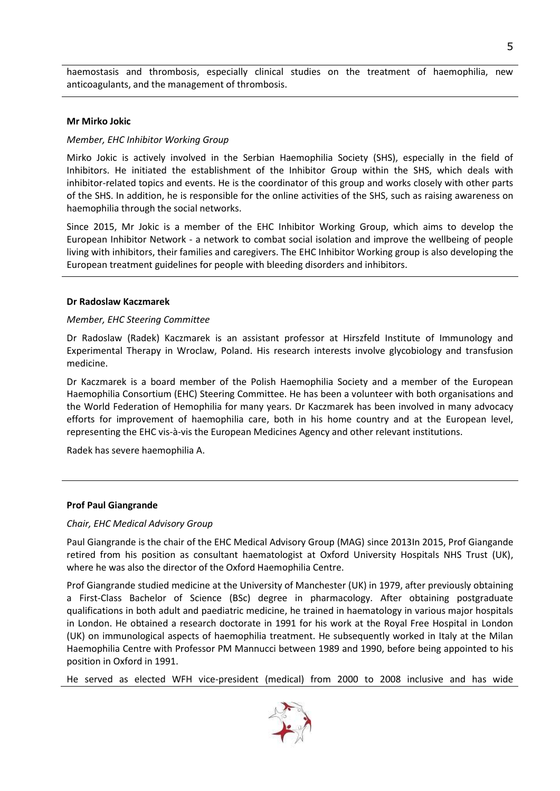haemostasis and thrombosis, especially clinical studies on the treatment of haemophilia, new anticoagulants, and the management of thrombosis.

#### **Mr Mirko Jokic**

# *Member, EHC Inhibitor Working Group*

Mirko Jokic is actively involved in the Serbian Haemophilia Society (SHS), especially in the field of Inhibitors. He initiated the establishment of the Inhibitor Group within the SHS, which deals with inhibitor-related topics and events. He is the coordinator of this group and works closely with other parts of the SHS. In addition, he is responsible for the online activities of the SHS, such as raising awareness on haemophilia through the social networks.

Since 2015, Mr Jokic is a member of the EHC Inhibitor Working Group, which aims to develop the European Inhibitor Network - a network to combat social isolation and improve the wellbeing of people living with inhibitors, their families and caregivers. The EHC Inhibitor Working group is also developing the European treatment guidelines for people with bleeding disorders and inhibitors.

#### **Dr Radoslaw Kaczmarek**

# *Member, EHC Steering Committee*

Dr Radoslaw (Radek) Kaczmarek is an assistant professor at Hirszfeld Institute of Immunology and Experimental Therapy in Wroclaw, Poland. His research interests involve glycobiology and transfusion medicine.

Dr Kaczmarek is a board member of the Polish Haemophilia Society and a member of the European Haemophilia Consortium (EHC) Steering Committee. He has been a volunteer with both organisations and the World Federation of Hemophilia for many years. Dr Kaczmarek has been involved in many advocacy efforts for improvement of haemophilia care, both in his home country and at the European level, representing the EHC vis-à-vis the European Medicines Agency and other relevant institutions.

Radek has severe haemophilia A.

# **Prof Paul Giangrande**

# *Chair, EHC Medical Advisory Group*

Paul Giangrande is the chair of the EHC Medical Advisory Group (MAG) since 2013In 2015, Prof Giangande retired from his position as consultant haematologist at Oxford University Hospitals NHS Trust (UK), where he was also the director of the Oxford Haemophilia Centre.

Prof Giangrande studied medicine at the University of Manchester (UK) in 1979, after previously obtaining a First-Class Bachelor of Science (BSc) degree in pharmacology. After obtaining postgraduate qualifications in both adult and paediatric medicine, he trained in haematology in various major hospitals in London. He obtained a research doctorate in 1991 for his work at the Royal Free Hospital in London (UK) on immunological aspects of haemophilia treatment. He subsequently worked in Italy at the Milan Haemophilia Centre with Professor PM Mannucci between 1989 and 1990, before being appointed to his position in Oxford in 1991.

He served as elected WFH vice-president (medical) from 2000 to 2008 inclusive and has wide